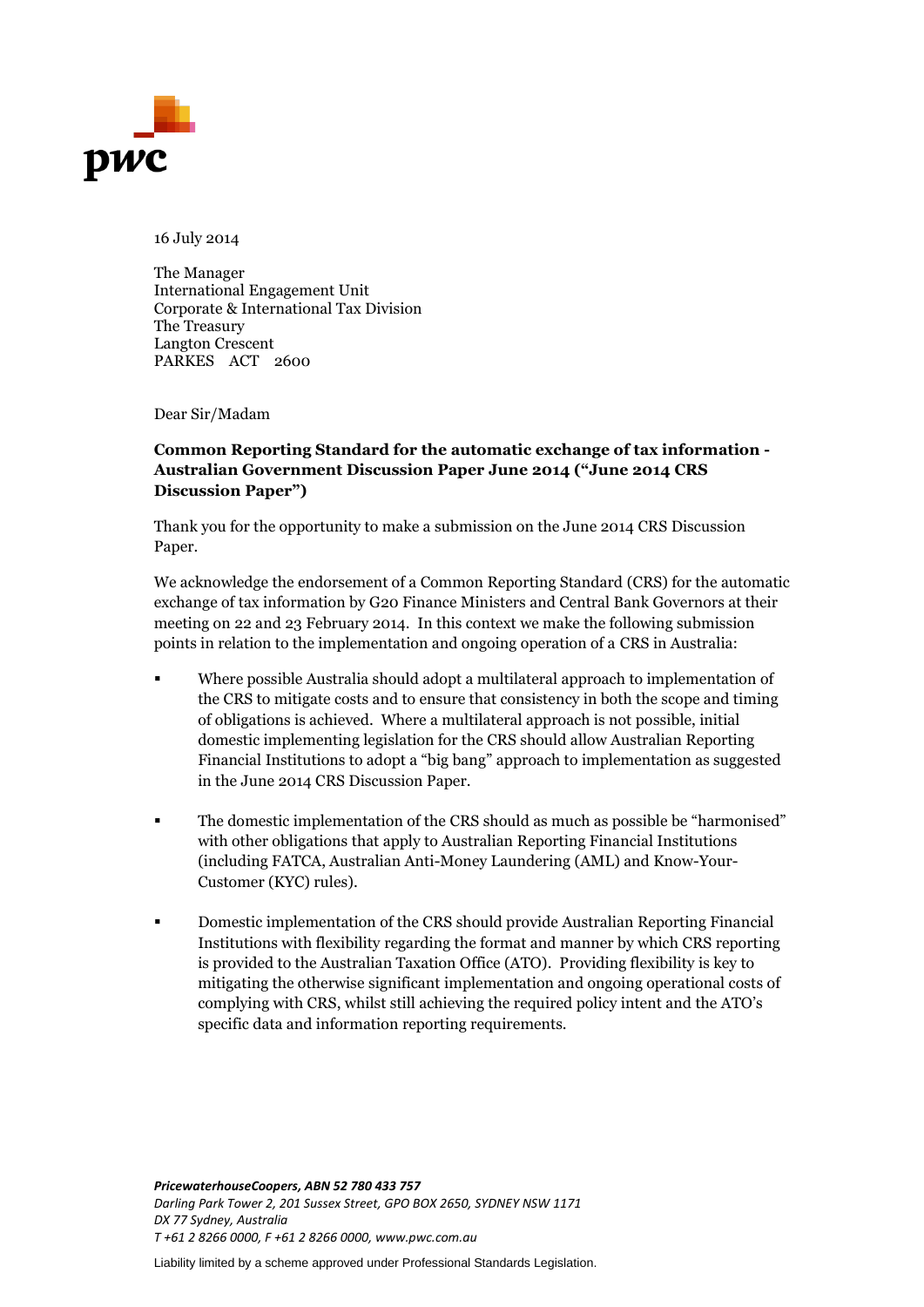

16 July 2014

The Manager International Engagement Unit Corporate & International Tax Division The Treasury Langton Crescent PARKES ACT 2600

Dear Sir/Madam

#### **Common Reporting Standard for the automatic exchange of tax information - Australian Government Discussion Paper June 2014 ("June 2014 CRS Discussion Paper")**

Thank you for the opportunity to make a submission on the June 2014 CRS Discussion Paper.

We acknowledge the endorsement of a Common Reporting Standard (CRS) for the automatic exchange of tax information by G20 Finance Ministers and Central Bank Governors at their meeting on 22 and 23 February 2014. In this context we make the following submission points in relation to the implementation and ongoing operation of a CRS in Australia:

- Where possible Australia should adopt a multilateral approach to implementation of the CRS to mitigate costs and to ensure that consistency in both the scope and timing of obligations is achieved. Where a multilateral approach is not possible, initial domestic implementing legislation for the CRS should allow Australian Reporting Financial Institutions to adopt a "big bang" approach to implementation as suggested in the June 2014 CRS Discussion Paper.
- The domestic implementation of the CRS should as much as possible be "harmonised" with other obligations that apply to Australian Reporting Financial Institutions (including FATCA, Australian Anti-Money Laundering (AML) and Know-Your-Customer (KYC) rules).
- Domestic implementation of the CRS should provide Australian Reporting Financial Institutions with flexibility regarding the format and manner by which CRS reporting is provided to the Australian Taxation Office (ATO). Providing flexibility is key to mitigating the otherwise significant implementation and ongoing operational costs of complying with CRS, whilst still achieving the required policy intent and the ATO's specific data and information reporting requirements.

*PricewaterhouseCoopers, ABN 52 780 433 757 Darling Park Tower 2, 201 Sussex Street, GPO BOX 2650, SYDNEY NSW 1171 DX 77 Sydney, Australia T +61 2 8266 0000, F +61 2 8266 0000, www.pwc.com.au*

Liability limited by a scheme approved under Professional Standards Legislation.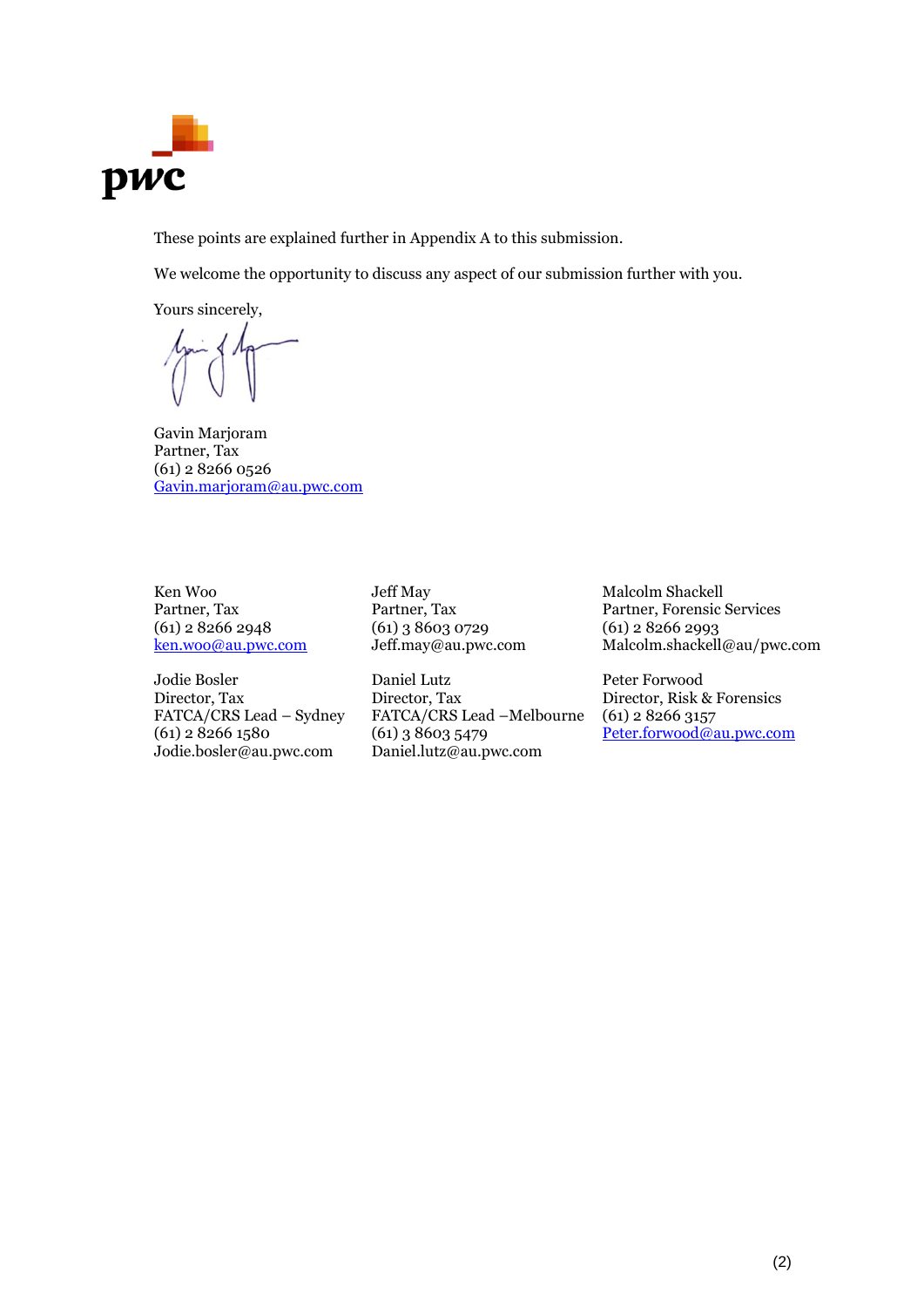

These points are explained further in Appendix A to this submission.

We welcome the opportunity to discuss any aspect of our submission further with you.

Yours sincerely,

Gavin Marjoram Partner, Tax (61) 2 8266 0526 [Gavin.marjoram@au.pwc.com](mailto:Gavin.marjoram@au.pwc.com)

Ken Woo Partner, Tax (61) 2 8266 2948 [ken.woo@au.pwc.com](mailto:ken.woo@au.pwc.com)

Jodie Bosler Director, Tax FATCA/CRS Lead – Sydney (61) 2 8266 1580 Jodie.bosler@au.pwc.com

Jeff May Partner, Tax (61) 3 8603 0729 Jeff.may@au.pwc.com

Daniel Lutz Director, Tax FATCA/CRS Lead –Melbourne (61) 3 8603 5479 Daniel.lutz@au.pwc.com

Malcolm Shackell Partner, Forensic Services (61) 2 8266 2993 Malcolm.shackell@au/pwc.com

Peter Forwood Director, Risk & Forensics (61) 2 8266 3157 [Peter.forwood@au.pwc.com](mailto:Peter.forwood@au.pwc.com)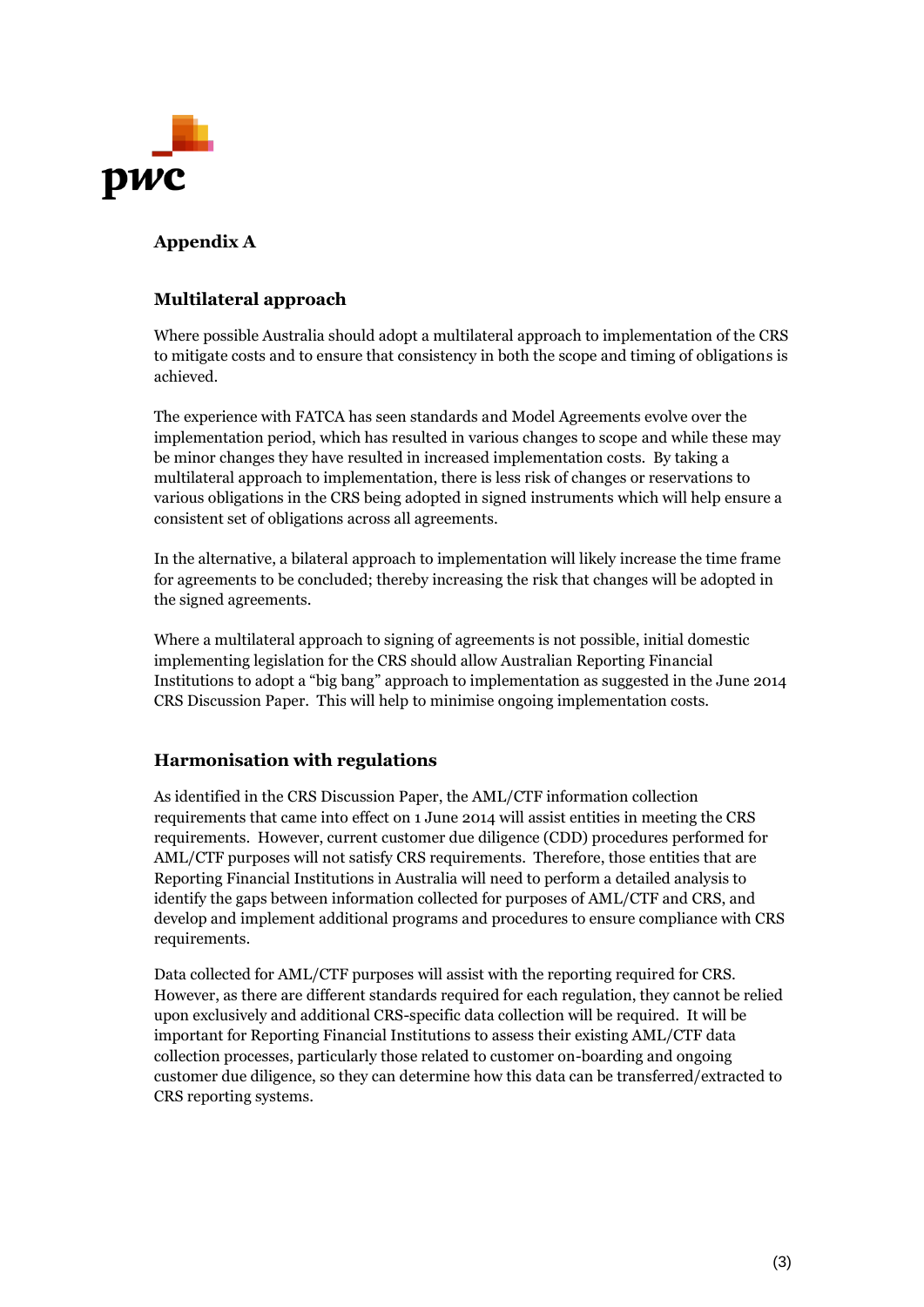

# **Appendix A**

## **Multilateral approach**

Where possible Australia should adopt a multilateral approach to implementation of the CRS to mitigate costs and to ensure that consistency in both the scope and timing of obligations is achieved.

The experience with FATCA has seen standards and Model Agreements evolve over the implementation period, which has resulted in various changes to scope and while these may be minor changes they have resulted in increased implementation costs. By taking a multilateral approach to implementation, there is less risk of changes or reservations to various obligations in the CRS being adopted in signed instruments which will help ensure a consistent set of obligations across all agreements.

In the alternative, a bilateral approach to implementation will likely increase the time frame for agreements to be concluded; thereby increasing the risk that changes will be adopted in the signed agreements.

Where a multilateral approach to signing of agreements is not possible, initial domestic implementing legislation for the CRS should allow Australian Reporting Financial Institutions to adopt a "big bang" approach to implementation as suggested in the June 2014 CRS Discussion Paper. This will help to minimise ongoing implementation costs.

### **Harmonisation with regulations**

As identified in the CRS Discussion Paper, the AML/CTF information collection requirements that came into effect on 1 June 2014 will assist entities in meeting the CRS requirements. However, current customer due diligence (CDD) procedures performed for AML/CTF purposes will not satisfy CRS requirements. Therefore, those entities that are Reporting Financial Institutions in Australia will need to perform a detailed analysis to identify the gaps between information collected for purposes of AML/CTF and CRS, and develop and implement additional programs and procedures to ensure compliance with CRS requirements.

Data collected for AML/CTF purposes will assist with the reporting required for CRS. However, as there are different standards required for each regulation, they cannot be relied upon exclusively and additional CRS-specific data collection will be required. It will be important for Reporting Financial Institutions to assess their existing AML/CTF data collection processes, particularly those related to customer on-boarding and ongoing customer due diligence, so they can determine how this data can be transferred/extracted to CRS reporting systems.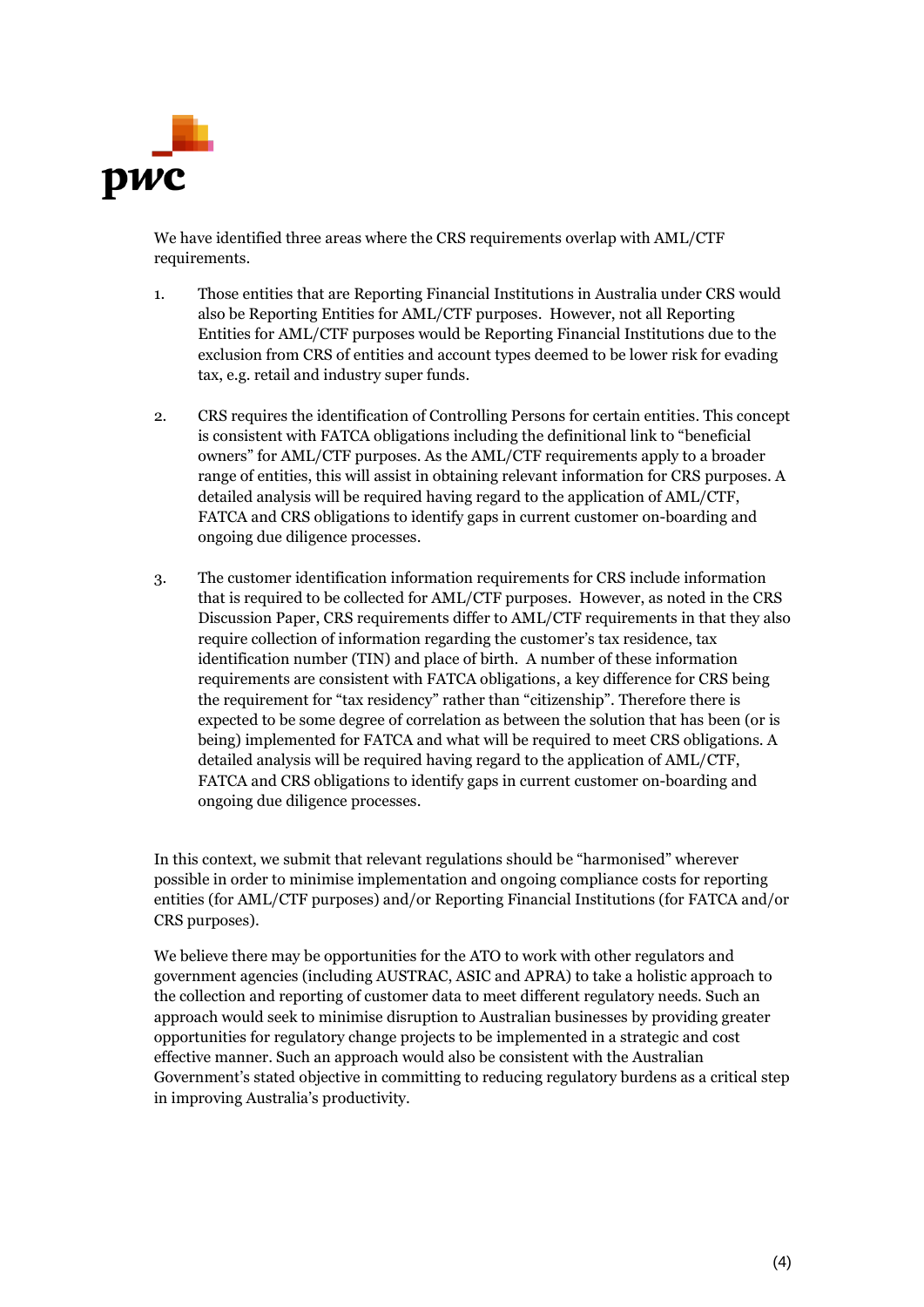

We have identified three areas where the CRS requirements overlap with AML/CTF requirements.

- 1. Those entities that are Reporting Financial Institutions in Australia under CRS would also be Reporting Entities for AML/CTF purposes. However, not all Reporting Entities for AML/CTF purposes would be Reporting Financial Institutions due to the exclusion from CRS of entities and account types deemed to be lower risk for evading tax, e.g. retail and industry super funds.
- 2. CRS requires the identification of Controlling Persons for certain entities. This concept is consistent with FATCA obligations including the definitional link to "beneficial owners" for AML/CTF purposes. As the AML/CTF requirements apply to a broader range of entities, this will assist in obtaining relevant information for CRS purposes. A detailed analysis will be required having regard to the application of AML/CTF, FATCA and CRS obligations to identify gaps in current customer on-boarding and ongoing due diligence processes.
- 3. The customer identification information requirements for CRS include information that is required to be collected for AML/CTF purposes. However, as noted in the CRS Discussion Paper, CRS requirements differ to AML/CTF requirements in that they also require collection of information regarding the customer's tax residence, tax identification number (TIN) and place of birth. A number of these information requirements are consistent with FATCA obligations, a key difference for CRS being the requirement for "tax residency" rather than "citizenship". Therefore there is expected to be some degree of correlation as between the solution that has been (or is being) implemented for FATCA and what will be required to meet CRS obligations. A detailed analysis will be required having regard to the application of AML/CTF, FATCA and CRS obligations to identify gaps in current customer on-boarding and ongoing due diligence processes.

In this context, we submit that relevant regulations should be "harmonised" wherever possible in order to minimise implementation and ongoing compliance costs for reporting entities (for AML/CTF purposes) and/or Reporting Financial Institutions (for FATCA and/or CRS purposes).

We believe there may be opportunities for the ATO to work with other regulators and government agencies (including AUSTRAC, ASIC and APRA) to take a holistic approach to the collection and reporting of customer data to meet different regulatory needs. Such an approach would seek to minimise disruption to Australian businesses by providing greater opportunities for regulatory change projects to be implemented in a strategic and cost effective manner. Such an approach would also be consistent with the Australian Government's stated objective in committing to reducing regulatory burdens as a critical step in improving Australia's productivity.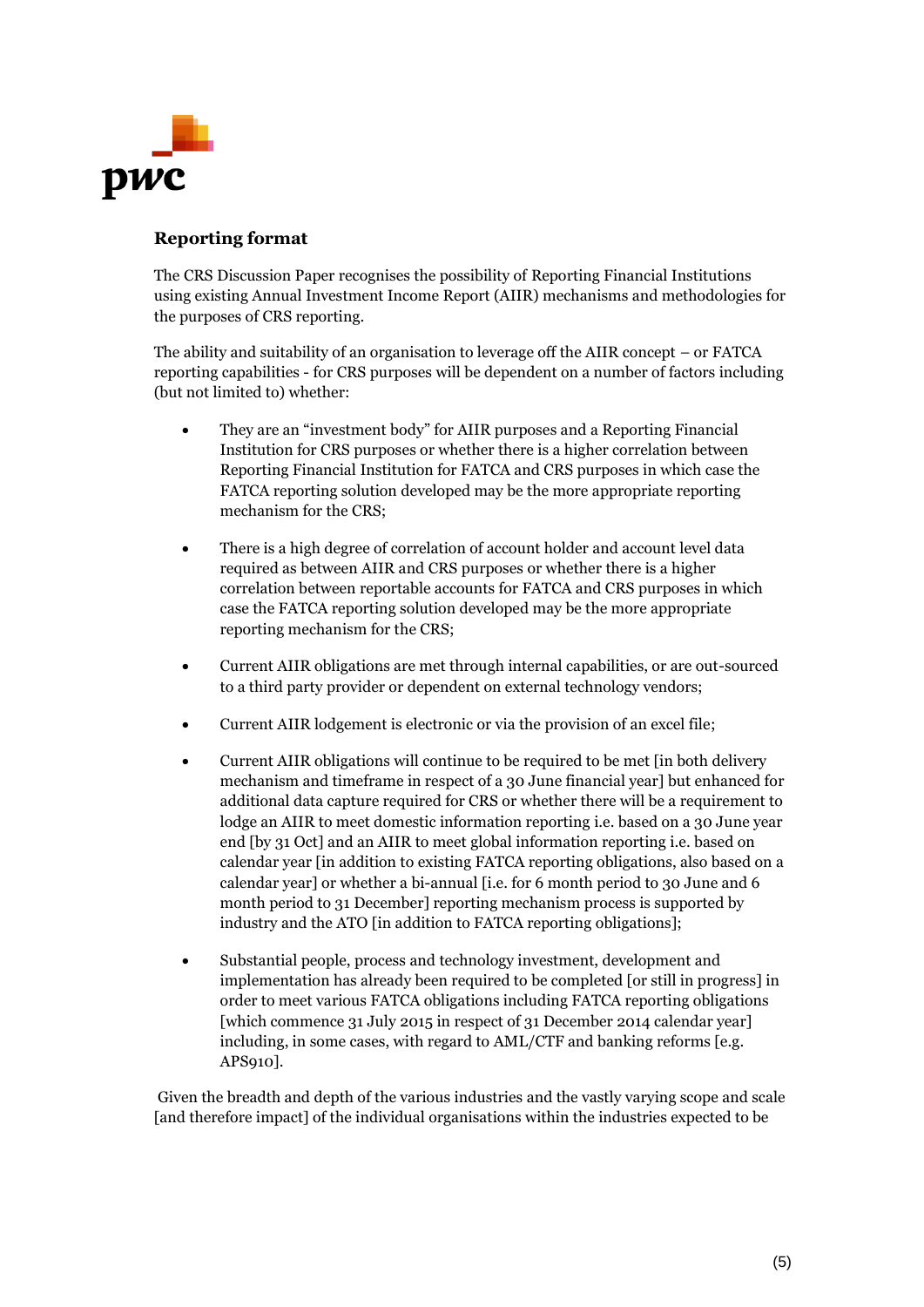

# **Reporting format**

The CRS Discussion Paper recognises the possibility of Reporting Financial Institutions using existing Annual Investment Income Report (AIIR) mechanisms and methodologies for the purposes of CRS reporting.

The ability and suitability of an organisation to leverage off the AIIR concept – or FATCA reporting capabilities - for CRS purposes will be dependent on a number of factors including (but not limited to) whether:

- They are an "investment body" for AIIR purposes and a Reporting Financial Institution for CRS purposes or whether there is a higher correlation between Reporting Financial Institution for FATCA and CRS purposes in which case the FATCA reporting solution developed may be the more appropriate reporting mechanism for the CRS;
- There is a high degree of correlation of account holder and account level data required as between AIIR and CRS purposes or whether there is a higher correlation between reportable accounts for FATCA and CRS purposes in which case the FATCA reporting solution developed may be the more appropriate reporting mechanism for the CRS;
- Current AIIR obligations are met through internal capabilities, or are out-sourced to a third party provider or dependent on external technology vendors;
- Current AIIR lodgement is electronic or via the provision of an excel file;
- Current AIIR obligations will continue to be required to be met [in both delivery mechanism and timeframe in respect of a 30 June financial year] but enhanced for additional data capture required for CRS or whether there will be a requirement to lodge an AIIR to meet domestic information reporting i.e. based on a 30 June year end [by 31 Oct] and an AIIR to meet global information reporting i.e. based on calendar year [in addition to existing FATCA reporting obligations, also based on a calendar year] or whether a bi-annual [i.e. for 6 month period to 30 June and 6 month period to 31 December] reporting mechanism process is supported by industry and the ATO [in addition to FATCA reporting obligations];
- Substantial people, process and technology investment, development and implementation has already been required to be completed [or still in progress] in order to meet various FATCA obligations including FATCA reporting obligations [which commence 31 July 2015 in respect of 31 December 2014 calendar year] including, in some cases, with regard to AML/CTF and banking reforms [e.g. APS910].

Given the breadth and depth of the various industries and the vastly varying scope and scale [and therefore impact] of the individual organisations within the industries expected to be